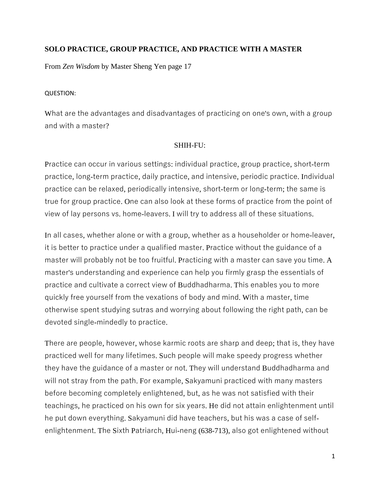# **SOLO PRACTICE, GROUP PRACTICE, AND PRACTICE WITH A MASTER**

From *Zen Wisdom* by Master Sheng Yen page 17

# QUESTION:

What are the advantages and disadvantages of practicing on one's own, with a group and with a master?

# SHIH-FU:

Practice can occur in various settings: individual practice, group practice, short-term practice, long-term practice, daily practice, and intensive, periodic practice. Individual practice can be relaxed, periodically intensive, short-term or long-term; the same is true for group practice. One can also look at these forms of practice from the point of view of lay persons vs. home-leavers. I will try to address all of these situations.

In all cases, whether alone or with a group, whether as a householder or home-leaver, it is better to practice under a qualified master. Practice without the guidance of a master will probably not be too fruitful. Practicing with a master can save you time. A master's understanding and experience can help you firmly grasp the essentials of practice and cultivate a correct view of Buddhadharma. This enables you to more quickly free yourself from the vexations of body and mind. With a master, time otherwise spent studying sutras and worrying about following the right path, can be devoted single-mindedly to practice.

There are people, however, whose karmic roots are sharp and deep; that is, they have practiced well for many lifetimes. Such people will make speedy progress whether they have the guidance of a master or not. They will understand Buddhadharma and will not stray from the path. For example, Sakyamuni practiced with many masters before becoming completely enlightened, but, as he was not satisfied with their teachings, he practiced on his own for six years. He did not attain enlightenment until he put down everything. Sakyamuni did have teachers, but his was a case of selfenlightenment. The Sixth Patriarch, Hui-neng (638-713), also got enlightened without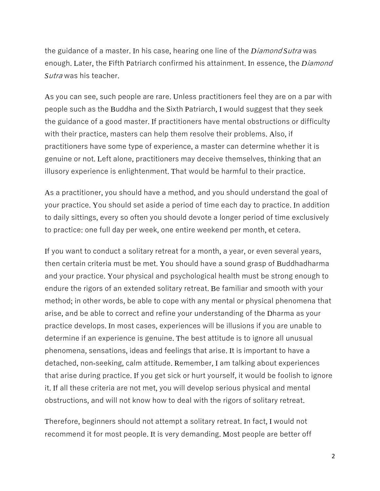the guidance of a master. In his case, hearing one line of the *D*iamond *S*utra was enough. Later, the Fifth Patriarch confirmed his attainment. In essence, the *D*iamond *S*utra was his teacher.

As you can see, such people are rare. Unless practitioners feel they are on a par with people such as the Buddha and the Sixth Patriarch, I would suggest that they seek the guidance of a good master. If practitioners have mental obstructions or difficulty with their practice, masters can help them resolve their problems. Also, if practitioners have some type of experience, a master can determine whether it is genuine or not. Left alone, practitioners may deceive themselves, thinking that an illusory experience is enlightenment. That would be harmful to their practice.

As a practitioner, you should have a method, and you should understand the goal of your practice. You should set aside a period of time each day to practice. In addition to daily sittings, every so often you should devote a longer period of time exclusively to practice: one full day per week, one entire weekend per month, et cetera.

If you want to conduct a solitary retreat for a month, a year, or even several years, then certain criteria must be met. You should have a sound grasp of Buddhadharma and your practice. Your physical and psychological health must be strong enough to endure the rigors of an extended solitary retreat. Be familiar and smooth with your method; in other words, be able to cope with any mental or physical phenomena that arise, and be able to correct and refine your understanding of the Dharma as your practice develops. In most cases, experiences will be illusions if you are unable to determine if an experience is genuine. The best attitude is to ignore all unusual phenomena, sensations, ideas and feelings that arise. It is important to have a detached, non-seeking, calm attitude. Remember, I am talking about experiences that arise during practice. If you get sick or hurt yourself, it would be foolish to ignore it. If all these criteria are not met, you will develop serious physical and mental obstructions, and will not know how to deal with the rigors of solitary retreat.

Therefore, beginners should not attempt a solitary retreat. In fact, I would not recommend it for most people. It is very demanding. Most people are better off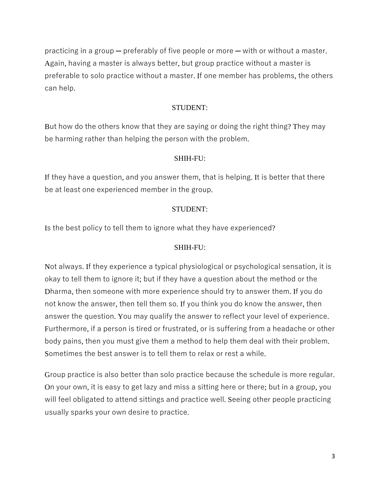practicing in a group ─ preferably of five people or more ─ with or without a master. Again, having a master is always better, but group practice without a master is preferable to solo practice without a master. If one member has problems, the others can help.

### STUDENT:

But how do the others know that they are saying or doing the right thing? They may be harming rather than helping the person with the problem.

#### SHIH-FU:

If they have a question, and you answer them, that is helping. It is better that there be at least one experienced member in the group.

### STUDENT:

Is the best policy to tell them to ignore what they have experienced?

### SHIH-FU:

Not always. If they experience a typical physiological or psychological sensation, it is okay to tell them to ignore it; but if they have a question about the method or the Dharma, then someone with more experience should try to answer them. If you do not know the answer, then tell them so. If you think you do know the answer, then answer the question. You may qualify the answer to reflect your level of experience. Furthermore, if a person is tired or frustrated, or is suffering from a headache or other body pains, then you must give them a method to help them deal with their problem. Sometimes the best answer is to tell them to relax or rest a while.

Group practice is also better than solo practice because the schedule is more regular. On your own, it is easy to get lazy and miss a sitting here or there; but in a group, you will feel obligated to attend sittings and practice well. Seeing other people practicing usually sparks your own desire to practice.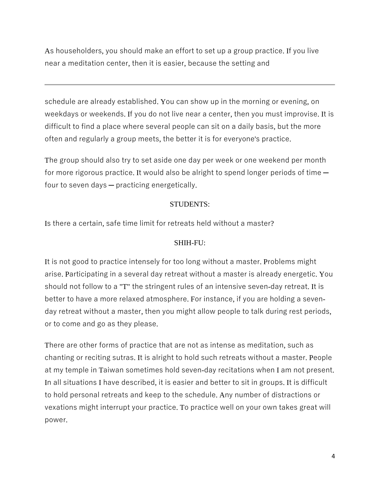As householders, you should make an effort to set up a group practice. If you live near a meditation center, then it is easier, because the setting and

schedule are already established. You can show up in the morning or evening, on weekdays or weekends. If you do not live near a center, then you must improvise. It is difficult to find a place where several people can sit on a daily basis, but the more often and regularly a group meets, the better it is for everyone's practice.

The group should also try to set aside one day per week or one weekend per month for more rigorous practice. It would also be alright to spend longer periods of time  $$ four to seven days — practicing energetically.

# STUDENTS:

Is there a certain, safe time limit for retreats held without a master?

#### SHIH-FU:

It is not good to practice intensely for too long without a master. Problems might arise. Participating in a several day retreat without a master is already energetic. You should not follow to a "T" the stringent rules of an intensive seven-day retreat. It is better to have a more relaxed atmosphere. For instance, if you are holding a sevenday retreat without a master, then you might allow people to talk during rest periods, or to come and go as they please.

There are other forms of practice that are not as intense as meditation, such as chanting or reciting sutras. It is alright to hold such retreats without a master. People at my temple in Taiwan sometimes hold seven-day recitations when I am not present. In all situations I have described, it is easier and better to sit in groups. It is difficult to hold personal retreats and keep to the schedule. Any number of distractions or vexations might interrupt your practice. To practice well on your own takes great will power.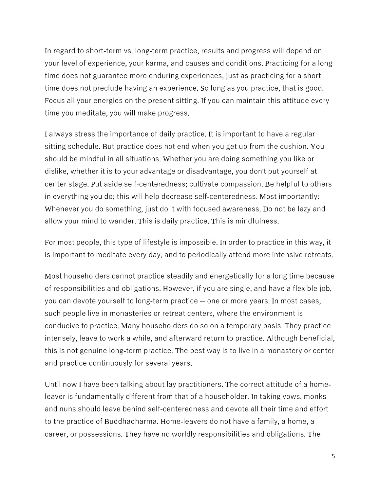In regard to short-term vs. long-term practice, results and progress will depend on your level of experience, your karma, and causes and conditions. Practicing for a long time does not guarantee more enduring experiences, just as practicing for a short time does not preclude having an experience. So long as you practice, that is good. Focus all your energies on the present sitting. If you can maintain this attitude every time you meditate, you will make progress.

I always stress the importance of daily practice. It is important to have a regular sitting schedule. But practice does not end when you get up from the cushion. You should be mindful in all situations. Whether you are doing something you like or dislike, whether it is to your advantage or disadvantage, you don't put yourself at center stage. Put aside self-centeredness; cultivate compassion. Be helpful to others in everything you do; this will help decrease self-centeredness. Most importantly: Whenever you do something, just do it with focused awareness. Do not be lazy and allow your mind to wander. This is daily practice. This is mindfulness.

For most people, this type of lifestyle is impossible. In order to practice in this way, it is important to meditate every day, and to periodically attend more intensive retreats.

Most householders cannot practice steadily and energetically for a long time because of responsibilities and obligations. However, if you are single, and have a flexible job, you can devote yourself to long-term practice ─ one or more years. In most cases, such people live in monasteries or retreat centers, where the environment is conducive to practice. Many householders do so on a temporary basis. They practice intensely, leave to work a while, and afterward return to practice. Although beneficial, this is not genuine long-term practice. The best way is to live in a monastery or center and practice continuously for several years.

Until now I have been talking about lay practitioners. The correct attitude of a homeleaver is fundamentally different from that of a householder. In taking vows, monks and nuns should leave behind self-centeredness and devote all their time and effort to the practice of Buddhadharma. Home-leavers do not have a family, a home, a career, or possessions. They have no worldly responsibilities and obligations. The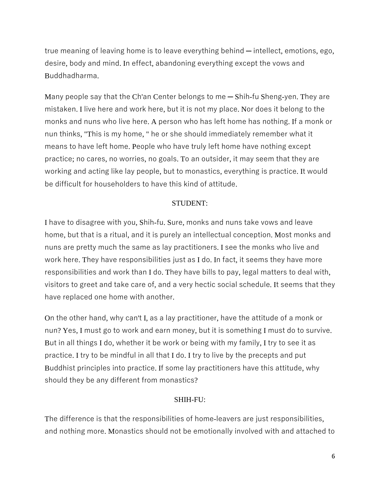true meaning of leaving home is to leave everything behind — intellect, emotions, ego, desire, body and mind. In effect, abandoning everything except the vows and Buddhadharma.

Many people say that the Ch'an Center belongs to me – Shih-fu Sheng-yen. They are mistaken. I live here and work here, but it is not my place. Nor does it belong to the monks and nuns who live here. A person who has left home has nothing. If a monk or nun thinks, "This is my home, " he or she should immediately remember what it means to have left home. People who have truly left home have nothing except practice; no cares, no worries, no goals. To an outsider, it may seem that they are working and acting like lay people, but to monastics, everything is practice. It would be difficult for householders to have this kind of attitude.

# STUDENT:

I have to disagree with you, Shih-fu. Sure, monks and nuns take vows and leave home, but that is a ritual, and it is purely an intellectual conception. Most monks and nuns are pretty much the same as lay practitioners. I see the monks who live and work here. They have responsibilities just as I do. In fact, it seems they have more responsibilities and work than I do. They have bills to pay, legal matters to deal with, visitors to greet and take care of, and a very hectic social schedule. It seems that they have replaced one home with another.

On the other hand, why can't I, as a lay practitioner, have the attitude of a monk or nun? Yes, I must go to work and earn money, but it is something I must do to survive. But in all things I do, whether it be work or being with my family, I try to see it as practice. I try to be mindful in all that I do. I try to live by the precepts and put Buddhist principles into practice. If some lay practitioners have this attitude, why should they be any different from monastics?

#### SHIH-FU:

The difference is that the responsibilities of home-leavers are just responsibilities, and nothing more. Monastics should not be emotionally involved with and attached to